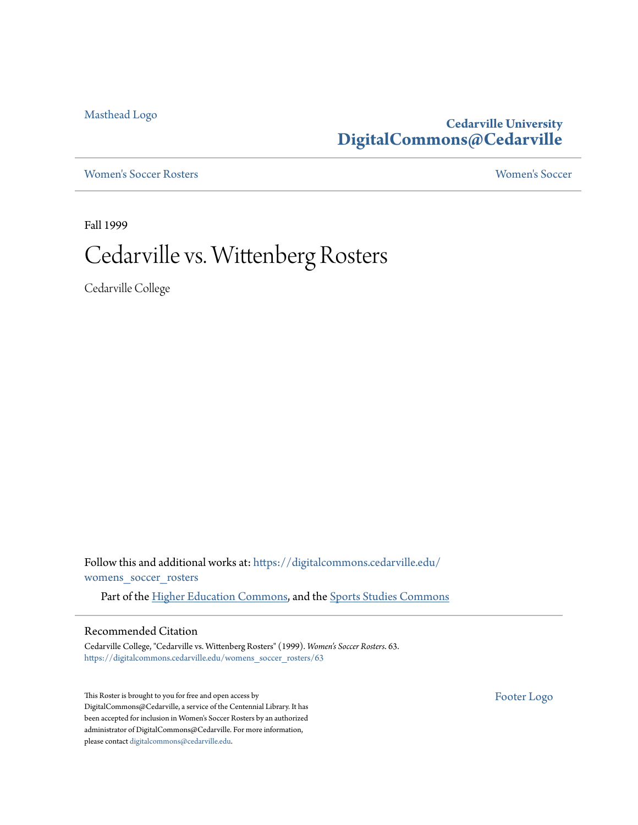[Masthead Logo](http://www.cedarville.edu/?utm_source=digitalcommons.cedarville.edu%2Fwomens_soccer_rosters%2F63&utm_medium=PDF&utm_campaign=PDFCoverPages)

**Cedarville University [DigitalCommons@Cedarville](https://digitalcommons.cedarville.edu?utm_source=digitalcommons.cedarville.edu%2Fwomens_soccer_rosters%2F63&utm_medium=PDF&utm_campaign=PDFCoverPages)**

[Women's Soccer Rosters](https://digitalcommons.cedarville.edu/womens_soccer_rosters?utm_source=digitalcommons.cedarville.edu%2Fwomens_soccer_rosters%2F63&utm_medium=PDF&utm_campaign=PDFCoverPages) [Women's Soccer](https://digitalcommons.cedarville.edu/womens_soccer?utm_source=digitalcommons.cedarville.edu%2Fwomens_soccer_rosters%2F63&utm_medium=PDF&utm_campaign=PDFCoverPages)

Fall 1999

## Cedarville vs. Wittenberg Rosters

Cedarville College

Follow this and additional works at: [https://digitalcommons.cedarville.edu/](https://digitalcommons.cedarville.edu/womens_soccer_rosters?utm_source=digitalcommons.cedarville.edu%2Fwomens_soccer_rosters%2F63&utm_medium=PDF&utm_campaign=PDFCoverPages) [womens\\_soccer\\_rosters](https://digitalcommons.cedarville.edu/womens_soccer_rosters?utm_source=digitalcommons.cedarville.edu%2Fwomens_soccer_rosters%2F63&utm_medium=PDF&utm_campaign=PDFCoverPages)

Part of the [Higher Education Commons](http://network.bepress.com/hgg/discipline/1245?utm_source=digitalcommons.cedarville.edu%2Fwomens_soccer_rosters%2F63&utm_medium=PDF&utm_campaign=PDFCoverPages), and the [Sports Studies Commons](http://network.bepress.com/hgg/discipline/1198?utm_source=digitalcommons.cedarville.edu%2Fwomens_soccer_rosters%2F63&utm_medium=PDF&utm_campaign=PDFCoverPages)

#### Recommended Citation

Cedarville College, "Cedarville vs. Wittenberg Rosters" (1999). *Women's Soccer Rosters*. 63. [https://digitalcommons.cedarville.edu/womens\\_soccer\\_rosters/63](https://digitalcommons.cedarville.edu/womens_soccer_rosters/63?utm_source=digitalcommons.cedarville.edu%2Fwomens_soccer_rosters%2F63&utm_medium=PDF&utm_campaign=PDFCoverPages)

This Roster is brought to you for free and open access by DigitalCommons@Cedarville, a service of the Centennial Library. It has been accepted for inclusion in Women's Soccer Rosters by an authorized administrator of DigitalCommons@Cedarville. For more information, please contact [digitalcommons@cedarville.edu.](mailto:digitalcommons@cedarville.edu)

[Footer Logo](http://www.cedarville.edu/Academics/Library.aspx?utm_source=digitalcommons.cedarville.edu%2Fwomens_soccer_rosters%2F63&utm_medium=PDF&utm_campaign=PDFCoverPages)